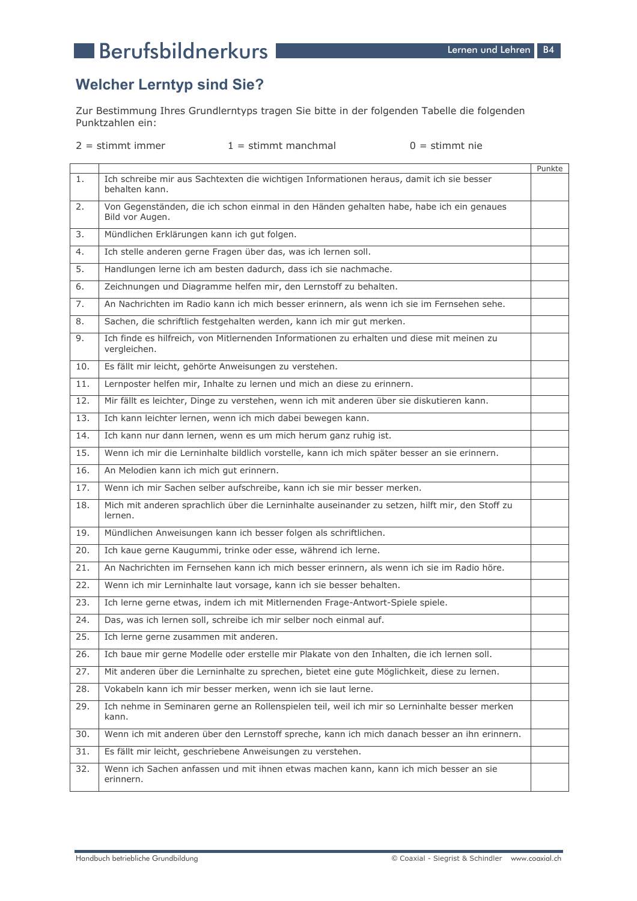# **Berufsbildnerkurs**

### **Welcher Lerntyp sind Sie?**

Zur Bestimmung Ihres Grundlerntyps tragen Sie bitte in der folgenden Tabelle die folgenden Punktzahlen ein:

 $2 =$  stimmt immer

 $1 =$  stimmt manchmal

 $0 =$  stimmt nie

|     |                                                                                                             | Punkte |
|-----|-------------------------------------------------------------------------------------------------------------|--------|
| 1.  | Ich schreibe mir aus Sachtexten die wichtigen Informationen heraus, damit ich sie besser<br>behalten kann.  |        |
| 2.  | Von Gegenständen, die ich schon einmal in den Händen gehalten habe, habe ich ein genaues<br>Bild vor Augen. |        |
| 3.  | Mündlichen Erklärungen kann ich gut folgen.                                                                 |        |
| 4.  | Ich stelle anderen gerne Fragen über das, was ich lernen soll.                                              |        |
| 5.  | Handlungen lerne ich am besten dadurch, dass ich sie nachmache.                                             |        |
| 6.  | Zeichnungen und Diagramme helfen mir, den Lernstoff zu behalten.                                            |        |
| 7.  | An Nachrichten im Radio kann ich mich besser erinnern, als wenn ich sie im Fernsehen sehe.                  |        |
| 8.  | Sachen, die schriftlich festgehalten werden, kann ich mir gut merken.                                       |        |
| 9.  | Ich finde es hilfreich, von Mitlernenden Informationen zu erhalten und diese mit meinen zu<br>vergleichen.  |        |
| 10. | Es fällt mir leicht, gehörte Anweisungen zu verstehen.                                                      |        |
| 11. | Lernposter helfen mir, Inhalte zu lernen und mich an diese zu erinnern.                                     |        |
| 12. | Mir fällt es leichter, Dinge zu verstehen, wenn ich mit anderen über sie diskutieren kann.                  |        |
| 13. | Ich kann leichter lernen, wenn ich mich dabei bewegen kann.                                                 |        |
| 14. | Ich kann nur dann lernen, wenn es um mich herum ganz ruhig ist.                                             |        |
| 15. | Wenn ich mir die Lerninhalte bildlich vorstelle, kann ich mich später besser an sie erinnern.               |        |
| 16. | An Melodien kann ich mich gut erinnern.                                                                     |        |
| 17. | Wenn ich mir Sachen selber aufschreibe, kann ich sie mir besser merken.                                     |        |
| 18. | Mich mit anderen sprachlich über die Lerninhalte auseinander zu setzen, hilft mir, den Stoff zu<br>lernen.  |        |
| 19. | Mündlichen Anweisungen kann ich besser folgen als schriftlichen.                                            |        |
| 20. | Ich kaue gerne Kaugummi, trinke oder esse, während ich lerne.                                               |        |
| 21. | An Nachrichten im Fernsehen kann ich mich besser erinnern, als wenn ich sie im Radio höre.                  |        |
| 22. | Wenn ich mir Lerninhalte laut vorsage, kann ich sie besser behalten.                                        |        |
| 23. | Ich lerne gerne etwas, indem ich mit Mitlernenden Frage-Antwort-Spiele spiele.                              |        |
| 24. | Das, was ich lernen soll, schreibe ich mir selber noch einmal auf.                                          |        |
| 25. | Ich lerne gerne zusammen mit anderen.                                                                       |        |
| 26. | Ich baue mir gerne Modelle oder erstelle mir Plakate von den Inhalten, die ich lernen soll.                 |        |
| 27. | Mit anderen über die Lerninhalte zu sprechen, bietet eine gute Möglichkeit, diese zu lernen.                |        |
| 28. | Vokabeln kann ich mir besser merken, wenn ich sie laut lerne.                                               |        |
| 29. | Ich nehme in Seminaren gerne an Rollenspielen teil, weil ich mir so Lerninhalte besser merken<br>kann.      |        |
| 30. | Wenn ich mit anderen über den Lernstoff spreche, kann ich mich danach besser an ihn erinnern.               |        |
| 31. | Es fällt mir leicht, geschriebene Anweisungen zu verstehen.                                                 |        |
| 32. | Wenn ich Sachen anfassen und mit ihnen etwas machen kann, kann ich mich besser an sie<br>erinnern.          |        |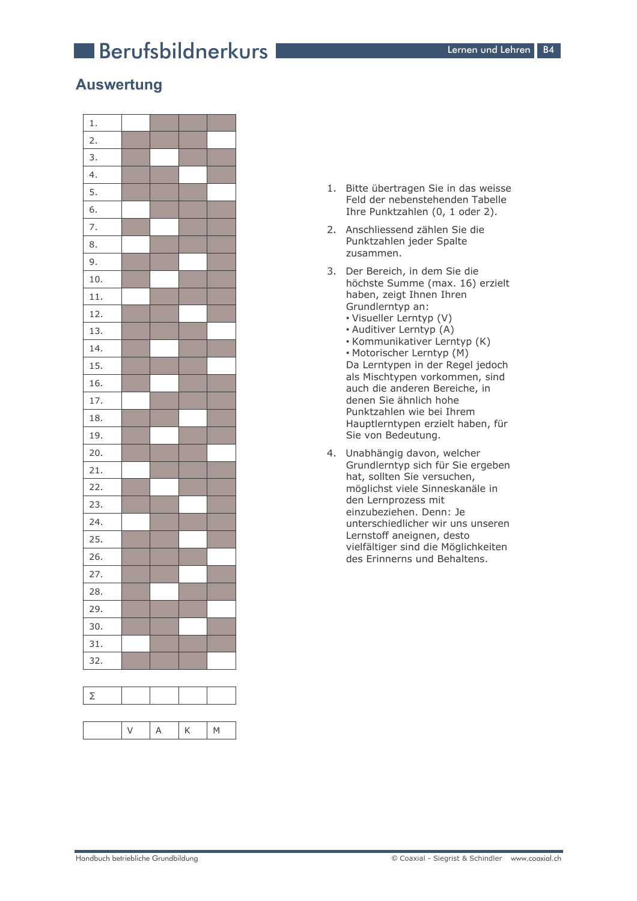# **Berufsbildnerkurs**

### **Auswertung**



- 1. Bitte übertragen Sie in das weisse Feld der nebenstehenden Tabelle Ihre Punktzahlen (0, 1 oder 2).
- 2. Anschliessend zählen Sie die Punktzahlen jeder Spalte zusammen.
- 3. Der Bereich, in dem Sie die höchste Summe (max. 16) erzielt haben, zeigt Ihnen Ihren Grundlerntvp an:
	- Visueller Lerntyp (V)
	- Auditiver Lerntyp (A)
	- Kommunikativer Lerntyp (K) • Motorischer Lerntyp (M) Da Lerntypen in der Regel jedoch als Mischtypen vorkommen, sind auch die anderen Bereiche, in
	- denen Sie ähnlich hohe Punktzahlen wie bei Ihrem Hauptlerntypen erzielt haben, für Sie von Bedeutung.
- 4. Unabhängig davon, welcher Grundlerntyp sich für Sie ergeben hat, sollten Sie versuchen, möglichst viele Sinneskanäle in den Lernprozess mit einzubeziehen. Denn: Je unterschiedlicher wir uns unseren Lernstoff aneignen, desto vielfältiger sind die Möglichkeiten des Erinnerns und Behaltens.